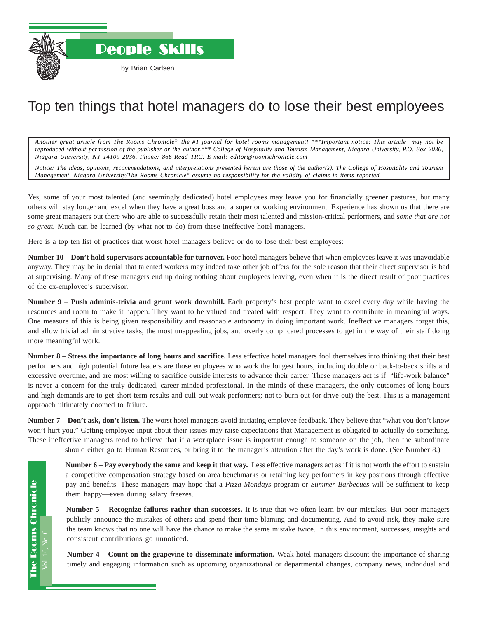

## Top ten things that hotel managers do to lose their best employees

*Another great article from The Rooms Chronicle*®*, the #1 journal for hotel rooms management! \*\*\*Important notice: This article may not be reproduced without permission of the publisher or the author.\*\*\* College of Hospitality and Tourism Management, Niagara University, P.O. Box 2036, Niagara University, NY 14109-2036. Phone: 866-Read TRC. E-mail: editor@roomschronicle.com*

*Notice: The ideas, opinions, recommendations, and interpretations presented herein are those of the author(s). The College of Hospitality and Tourism Management, Niagara University/The Rooms Chronicle*® *assume no responsibility for the validity of claims in items reported.*

Yes, some of your most talented (and seemingly dedicated) hotel employees may leave you for financially greener pastures, but many others will stay longer and excel when they have a great boss and a superior working environment. Experience has shown us that there are some great managers out there who are able to successfully retain their most talented and mission-critical performers, and *some that are not so great.* Much can be learned (by what not to do) from these ineffective hotel managers.

Here is a top ten list of practices that worst hotel managers believe or do to lose their best employees:

**Number 10 – Don't hold supervisors accountable for turnover.** Poor hotel managers believe that when employees leave it was unavoidable anyway. They may be in denial that talented workers may indeed take other job offers for the sole reason that their direct supervisor is bad at supervising. Many of these managers end up doing nothing about employees leaving, even when it is the direct result of poor practices of the ex-employee's supervisor.

**Number 9 – Push adminis-trivia and grunt work downhill.** Each property's best people want to excel every day while having the resources and room to make it happen. They want to be valued and treated with respect. They want to contribute in meaningful ways. One measure of this is being given responsibility and reasonable autonomy in doing important work. Ineffective managers forget this, and allow trivial administrative tasks, the most unappealing jobs, and overly complicated processes to get in the way of their staff doing more meaningful work.

**Number 8 – Stress the importance of long hours and sacrifice.** Less effective hotel managers fool themselves into thinking that their best performers and high potential future leaders are those employees who work the longest hours, including double or back-to-back shifts and excessive overtime, and are most willing to sacrifice outside interests to advance their career. These managers act is if "life-work balance" is never a concern for the truly dedicated, career-minded professional. In the minds of these managers, the only outcomes of long hours and high demands are to get short-term results and cull out weak performers; not to burn out (or drive out) the best. This is a management approach ultimately doomed to failure.

**Number 7 – Don't ask, don't listen.** The worst hotel managers avoid initiating employee feedback. They believe that "what you don't know won't hurt you." Getting employee input about their issues may raise expectations that Management is obligated to actually do something. These ineffective managers tend to believe that if a workplace issue is important enough to someone on the job, then the subordinate

should either go to Human Resources, or bring it to the manager's attention after the day's work is done. (See Number 8.)

**Number 6 – Pay everybody the same and keep it that way.** Less effective managers act as if it is not worth the effort to sustain a competitive compensation strategy based on area benchmarks or retaining key performers in key positions through effective pay and benefits. These managers may hope that a *Pizza Mondays* program or *Summer Barbecues* will be sufficient to keep them happy—even during salary freezes.

**Number 5 – Recognize failures rather than successes.** It is true that we often learn by our mistakes. But poor managers publicly announce the mistakes of others and spend their time blaming and documenting. And to avoid risk, they make sure the team knows that no one will have the chance to make the same mistake twice. In this environment, successes, insights and consistent contributions go unnoticed.

**Number 4 – Count on the grapevine to disseminate information.** Weak hotel managers discount the importance of sharing timely and engaging information such as upcoming organizational or departmental changes, company news, individual and

Vol. 16, No. 6